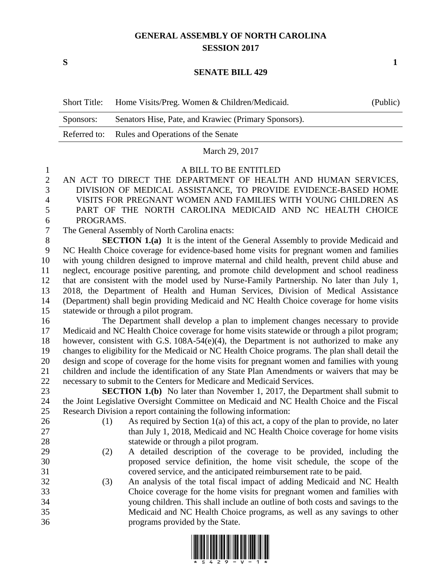## **GENERAL ASSEMBLY OF NORTH CAROLINA SESSION 2017**

**S 1**

## **SENATE BILL 429**

| <b>Short Title:</b> | Home Visits/Preg. Women & Children/Medicaid.         | (Public) |
|---------------------|------------------------------------------------------|----------|
| Sponsors:           | Senators Hise, Pate, and Krawiec (Primary Sponsors). |          |
|                     | Referred to: Rules and Operations of the Senate      |          |
|                     | March 29, 2017                                       |          |

## A BILL TO BE ENTITLED

 AN ACT TO DIRECT THE DEPARTMENT OF HEALTH AND HUMAN SERVICES, DIVISION OF MEDICAL ASSISTANCE, TO PROVIDE EVIDENCE-BASED HOME VISITS FOR PREGNANT WOMEN AND FAMILIES WITH YOUNG CHILDREN AS PART OF THE NORTH CAROLINA MEDICAID AND NC HEALTH CHOICE PROGRAMS.

The General Assembly of North Carolina enacts:

 **SECTION 1.(a)** It is the intent of the General Assembly to provide Medicaid and NC Health Choice coverage for evidence-based home visits for pregnant women and families with young children designed to improve maternal and child health, prevent child abuse and neglect, encourage positive parenting, and promote child development and school readiness that are consistent with the model used by Nurse-Family Partnership. No later than July 1, 2018, the Department of Health and Human Services, Division of Medical Assistance (Department) shall begin providing Medicaid and NC Health Choice coverage for home visits statewide or through a pilot program.

 The Department shall develop a plan to implement changes necessary to provide Medicaid and NC Health Choice coverage for home visits statewide or through a pilot program; however, consistent with G.S. 108A-54(e)(4), the Department is not authorized to make any changes to eligibility for the Medicaid or NC Health Choice programs. The plan shall detail the design and scope of coverage for the home visits for pregnant women and families with young children and include the identification of any State Plan Amendments or waivers that may be necessary to submit to the Centers for Medicare and Medicaid Services.

**SECTION 1.(b)** No later than November 1, 2017, the Department shall submit to the Joint Legislative Oversight Committee on Medicaid and NC Health Choice and the Fiscal Research Division a report containing the following information:

- 
- 26 (1) As required by Section 1(a) of this act, a copy of the plan to provide, no later 27 than July 1, 2018, Medicaid and NC Health Choice coverage for home visits statewide or through a pilot program.
- (2) A detailed description of the coverage to be provided, including the proposed service definition, the home visit schedule, the scope of the covered service, and the anticipated reimbursement rate to be paid.
- (3) An analysis of the total fiscal impact of adding Medicaid and NC Health Choice coverage for the home visits for pregnant women and families with young children. This shall include an outline of both costs and savings to the Medicaid and NC Health Choice programs, as well as any savings to other programs provided by the State.